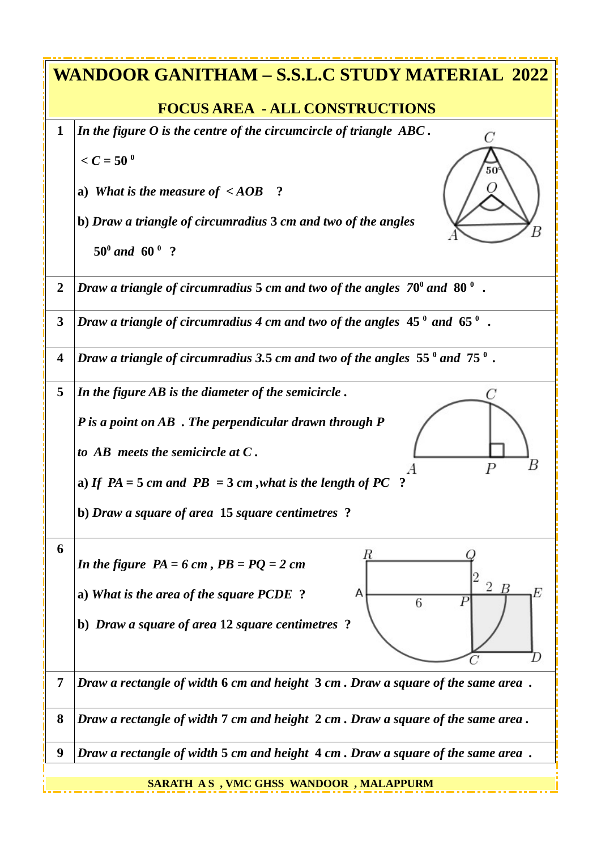| WANDOOR GANITHAM – S.S.L.C STUDY MATERIAL 2022 |                                                                                                |  |
|------------------------------------------------|------------------------------------------------------------------------------------------------|--|
|                                                | <b>FOCUS AREA - ALL CONSTRUCTIONS</b>                                                          |  |
| $\mathbf{1}$                                   | In the figure O is the centre of the circumcircle of triangle ABC.<br>C                        |  |
|                                                | $\leq C = 50^{\circ}$                                                                          |  |
|                                                | a) What is the measure of $\leq$ AOB ?                                                         |  |
|                                                | b) Draw a triangle of circumradius 3 cm and two of the angles                                  |  |
|                                                | $50^{\circ}$ and $60^{\circ}$ ?                                                                |  |
| $\overline{2}$                                 | Draw a triangle of circumradius 5 cm and two of the angles $70^{\circ}$ and $80^{\circ}$ .     |  |
| 3                                              | Draw a triangle of circumradius 4 cm and two of the angles $45^{\degree}$ and $65^{\degree}$ . |  |
| $\boldsymbol{4}$                               | Draw a triangle of circumradius 3.5 cm and two of the angles $55^{\circ}$ and $75^{\circ}$ .   |  |
| 5                                              | In the figure AB is the diameter of the semicircle.                                            |  |
|                                                | P is a point on AB. The perpendicular drawn through P                                          |  |
|                                                | to $AB$ meets the semicircle at $C$ .                                                          |  |
|                                                | Р<br>a) If $PA = 5$ cm and $PB = 3$ cm, what is the length of PC ?                             |  |
|                                                | b) Draw a square of area 15 square centimetres ?                                               |  |
| 6                                              | R<br>In the figure $PA = 6$ cm, $PB = PQ = 2$ cm                                               |  |
|                                                | $\overline{2}$<br>B<br>a) What is the area of the square PCDE ?<br>А<br>P<br>6                 |  |
|                                                | b) Draw a square of area 12 square centimetres ?                                               |  |
|                                                |                                                                                                |  |
| $\overline{7}$                                 | Draw a rectangle of width 6 cm and height 3 cm. Draw a square of the same area.                |  |
| 8                                              | Draw a rectangle of width 7 cm and height 2 cm. Draw a square of the same area.                |  |
| $\boldsymbol{9}$                               | Draw a rectangle of width 5 cm and height 4 cm. Draw a square of the same area.                |  |
|                                                | SARATH AS, VMC GHSS WANDOOR, MALAPPURM                                                         |  |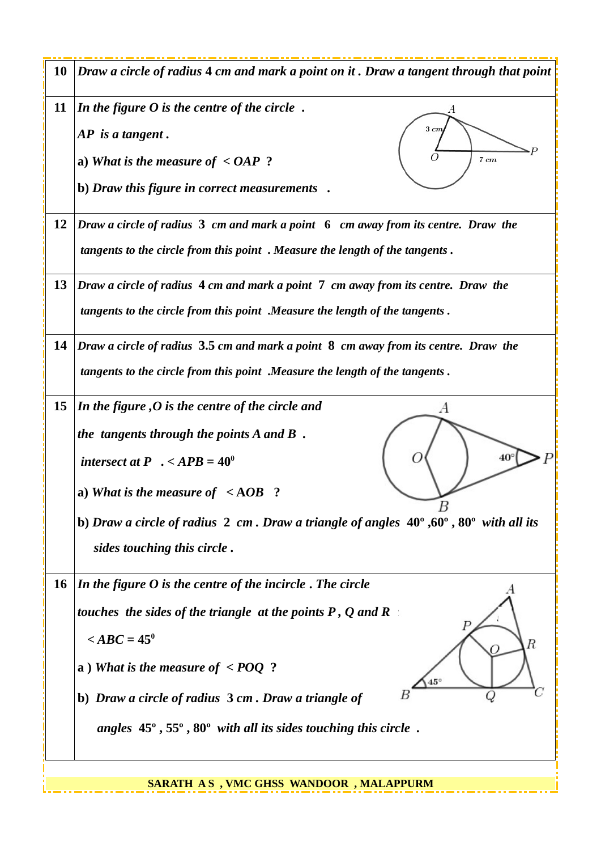| 10        | Draw a circle of radius 4 cm and mark a point on it. Draw a tangent through that point                                                                                                                                                                                                                                                                    |
|-----------|-----------------------------------------------------------------------------------------------------------------------------------------------------------------------------------------------------------------------------------------------------------------------------------------------------------------------------------------------------------|
| 11        | In the figure $O$ is the centre of the circle.<br>$3 \, cm$<br>AP is a tangent.<br>a) What is the measure of $\leq$ OAP ?<br>7 cm<br>b) Draw this figure in correct measurements.                                                                                                                                                                         |
| 12        | Draw a circle of radius 3 cm and mark a point 6 cm away from its centre. Draw the<br>tangents to the circle from this point . Measure the length of the tangents.                                                                                                                                                                                         |
| 13        | Draw a circle of radius 4 cm and mark a point 7 cm away from its centre. Draw the<br>tangents to the circle from this point .Measure the length of the tangents.                                                                                                                                                                                          |
| 14        | Draw a circle of radius 3.5 cm and mark a point 8 cm away from its centre. Draw the<br>tangents to the circle from this point .Measure the length of the tangents.                                                                                                                                                                                        |
| 15        | In the figure, O is the centre of the circle and<br>the tangents through the points $A$ and $B$ .<br>$40^{\circ}$<br>intersect at P $\cdot$ < APB = 40 <sup>0</sup><br>a) What is the measure of $\leq$ AOB ?<br>b) Draw a circle of radius 2 cm. Draw a triangle of angles 40°,60°, 80° with all its<br>sides touching this circle.                      |
| <b>16</b> | In the figure O is the centre of the incircle. The circle<br>touches the sides of the triangle $\alpha$ at the points P, Q and R $\alpha$<br>$\angle ABC = 45^\circ$<br>R<br>a) What is the measure of $\leq$ POQ ?<br>$45^\circ$<br>b) Draw a circle of radius 3 cm. Draw a triangle of<br>angles 45°, 55°, 80° with all its sides touching this circle. |

 **SARATH A S , VMC GHSS WANDOOR , MALAPPURM**